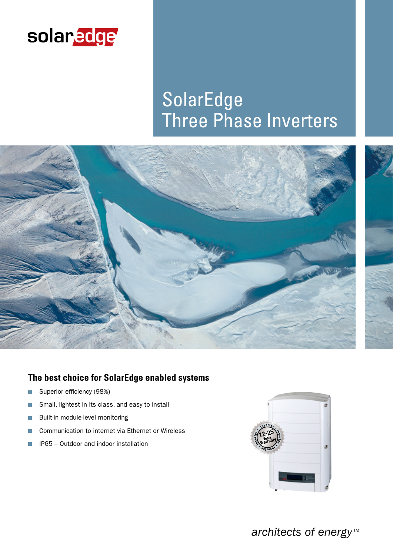

# SolarEdge Three Phase Inverters



## **The best choice for SolarEdge enabled systems**

- Superior efficiency (98%) n
- Small, lightest in its class, and easy to install  $\mathcal{C}^{\mathcal{A}}$
- Built-in module-level monitoring П
- Communication to internet via Ethernet or Wireless п
- IP65 Outdoor and indoor installation п



*architects of energy™*